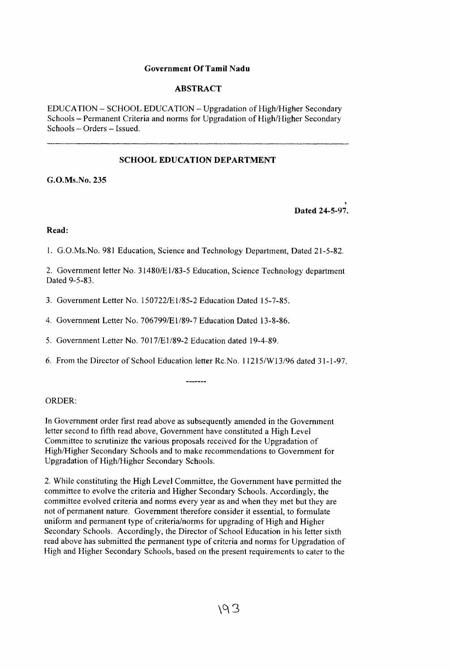## **Government Of Tamil Nadu**

## **ABSTRACT**

EDUCATION - SCHOOL EDUCATION - Upgradation of High/Higher Secondary Schools - Permanent Criteria and norms for Upgradation of High/Higher Secondary Schools - Orders - Issued.

# **SCHOOL EDUCATION DEPARTMENT**

**G.O.Ms.No. 235**

**Dated 24-5-97.**

#### Read:

1. G.O.Ms.No. 981 Education, Science and Technology Department, Dated 21-5-82.

2. Government letter No. 31480/E1/83-5 Education, Science Technology department Dated 9-5-83.

- 3. Government Letter No. 150722/E1/85-2 Education Dated 15-7-85.
- 4. Government Letter No. 706799/E1/89-7 Education Dated 13-8-86.
- 5. Government Letter No. 7017/E1/89-2 Education dated 19-4-89.
- 6. From the Director of School Education letter Rc.No.  $11215/W13/96$  dated 31-1-97.

--------

#### ORDER:

In Government order first read above as subsequently amended in the Government letter second to fifth read above, Government have constituted a High Level Committee to scrutinize the various proposals received for the Upgradation of High/Higher Secondary Schools and to make recommendations to Government for Upgradation of High/Higher Secondary Schools.

2. While constituting the High Level Committee, the Government have permitted the committee to evolve the criteria and Higher Secondary Schools. Accordingly, the committee evolved criteria and norms every year as and when they met but they are not of permanent nature. Government therefore consider it essential, to formulate uniform and permanent type of criteria/norms for upgrading of High and Higher Secondary Schools. Accordingly, the Director of School Education in his letter sixth read above has submitted the permanent type of criteria and norms for Upgradation of High and Higher Secondary Schools, based on the present requirements to cater to the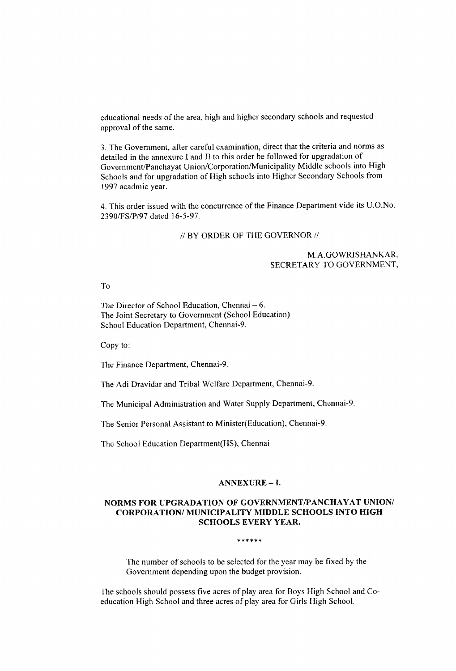educational needs of the area, high and higher secondary schools and requested approval of the same.

3. The Government, after careful examination, direct that the criteria and norms as detailed in the annexure I and II to this order be followed for upgradation of Government/Panchayat Union/Corporation/Municipality Middle schools into High Schools and for upgradation of High schools into Higher Secondary Schools from 1997 acadmic year.

4. This order issued with the concurrence of the Finance Department vide its U.O.No. 2390/FS/P/97 dated 16-5-97.

#### $\#$  BY ORDER OF THE GOVERNOR  $\#$

## M.A.GOWRISHANKAR, SECRETARY TO GOVERNMENT,

To

The Director of School Education, Chennai  $-6$ . The Joint Secretary to Government (School Education) School Education Department, Chennai-9.

Copy to:

The Finance Department, Chennai-9.

The Adi Dravidar and Tribal Welfare Department, Chennai-9.

The Municipal Administration and Water Supply Department, Chennai-9.

The Senior Personal Assistant to Minister(Education), Chennai-9.

The School Education Department(HS), Chennai

#### **ANNEXURE - 1.**

# **NORMS FOR UPGRADATION OF GOVERNMENT/PANCHAYAT UNION/ CORPORATION/ MUNICIPALITY MIDDLE SCHOOLS INTO HIGH SCHOOLS EVERY YEAR.**

#### \*\*\*\*\*\*

The number of schools to be selected for the year may be fixed by the Government depending upon the budget provision.

The schools should possess five acres of play area for Boys High School and Coeducation High School and three acres of play area for Girls High School.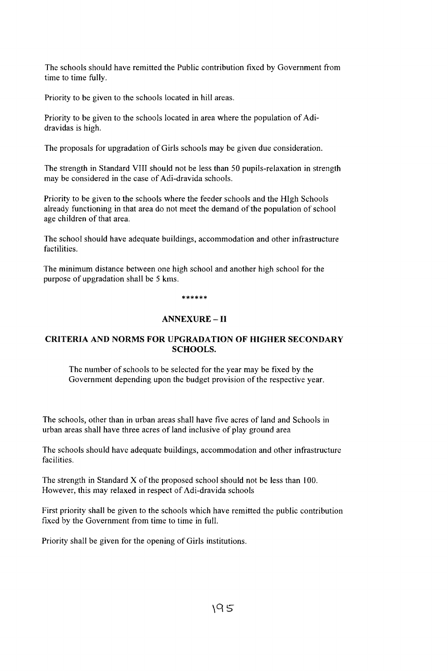The schools should have remitted the Public contribution fixed by Government from time to time fully.

Priority to be given to the schools located in hill areas.

Priority to be given to the schools located in area where the population of Adidravidas is high.

The proposals for upgradation of Girls schools may be given due consideration.

The strength in Standard VIII should not be less than 50 pupils-relaxation in strength may be considered in the case of Adi-dravida schools.

Priority to be given to the schools where the feeder schools and the HIgh Schools already functioning in that area do not meet the demand of the population of school age children of that area.

The school should have adequate buildings, accommodation and other infrastructure factilities.

The minimum distance between one high school and another high school for the purpose of upgradation shall be 5 kms.

\*\*\*\*\*\*

# **ANNEXURE - II**

# **CRITERIA AND NORMS FOR UPGRADATION OF HIGHER SECONDARY SCHOOLS.**

The number of schools to be selected for the year may be fixed by the Government depending upon the budget provision of the respective year.

The schools, other than in urban areas shall have five acres of land and Schools in urban areas shall have three acres of land inclusive of play ground area

The schools should have adequate buildings, accommodation and other infrastructure facilities.

The strength in Standard  $X$  of the proposed school should not be less than 100. However, this may relaxed in respect of Adi-dravida schools

First priority shall be given to the schools which have remitted the public contribution fixed by the Government from time to time in full.

Priority shall be given for the opening of Girls institutions.